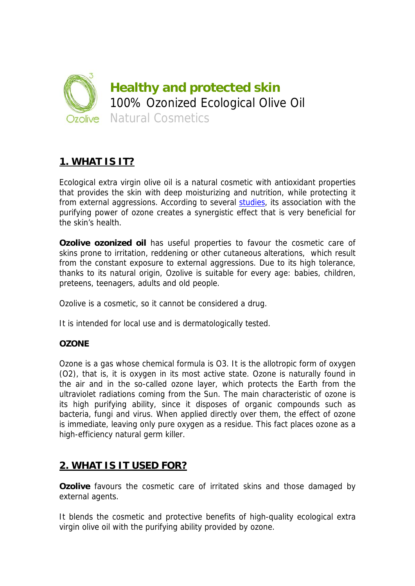

# **1. WHAT IS IT?**

Ecological extra virgin olive oil is a natural cosmetic with antioxidant properties that provides the skin with deep moisturizing and nutrition, while protecting it from external aggressions. According to several studies, its association with the purifying power of ozone creates a synergistic effect that is very beneficial for the skin's health.

**Ozolive ozonized oil** has useful properties to favour the cosmetic care of skins prone to irritation, reddening or other cutaneous alterations, which result from the constant exposure to external aggressions. Due to its high tolerance, thanks to its natural origin, Ozolive is suitable for every age: babies, children, preteens, teenagers, adults and old people.

Ozolive is a cosmetic, so it cannot be considered a drug.

It is intended for local use and is dermatologically tested.

## **OZONE**

Ozone is a gas whose chemical formula is O3. It is the allotropic form of oxygen (O2), that is, it is oxygen in its most active state. Ozone is naturally found in the air and in the so-called ozone layer, which protects the Earth from the ultraviolet radiations coming from the Sun. The main characteristic of ozone is its high purifying ability, since it disposes of organic compounds such as bacteria, fungi and virus. When applied directly over them, the effect of ozone is immediate, leaving only pure oxygen as a residue. This fact places ozone as a high-efficiency natural germ killer.

# **2. WHAT IS IT USED FOR?**

**Ozolive** favours the cosmetic care of irritated skins and those damaged by external agents.

It blends the cosmetic and protective benefits of high-quality ecological extra virgin olive oil with the purifying ability provided by ozone.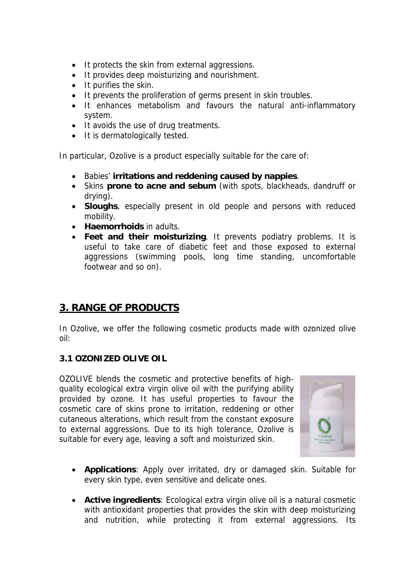- It protects the skin from external aggressions.
- It provides deep moisturizing and nourishment.
- $\bullet$  It purifies the skin.
- It prevents the proliferation of germs present in skin troubles.
- It enhances metabolism and favours the natural anti-inflammatory system.
- It avoids the use of drug treatments.
- It is dermatologically tested.

In particular, Ozolive is a product especially suitable for the care of:

- Babies' **irritations and reddening caused by nappies**.
- Skins **prone to acne and sebum** (with spots, blackheads, dandruff or drying).
- **Sloughs**, especially present in old people and persons with reduced mobility.
- **Haemorrhoids** in adults.
- **Feet and their moisturizing**. It prevents podiatry problems. It is useful to take care of diabetic feet and those exposed to external aggressions (swimming pools, long time standing, uncomfortable footwear and so on).

# **3. RANGE OF PRODUCTS**

In Ozolive, we offer the following cosmetic products made with ozonized olive oil:

## **3.1 OZONIZED OLIVE OIL**

OZOLIVE blends the cosmetic and protective benefits of highquality ecological extra virgin olive oil with the purifying ability provided by ozone. It has useful properties to favour the cosmetic care of skins prone to irritation, reddening or other cutaneous alterations, which result from the constant exposure to external aggressions. Due to its high tolerance, Ozolive is suitable for every age, leaving a soft and moisturized skin.



- **Applications**: Apply over irritated, dry or damaged skin. Suitable for every skin type, even sensitive and delicate ones.
- **Active ingredients**: Ecological extra virgin olive oil is a natural cosmetic with antioxidant properties that provides the skin with deep moisturizing and nutrition, while protecting it from external aggressions. Its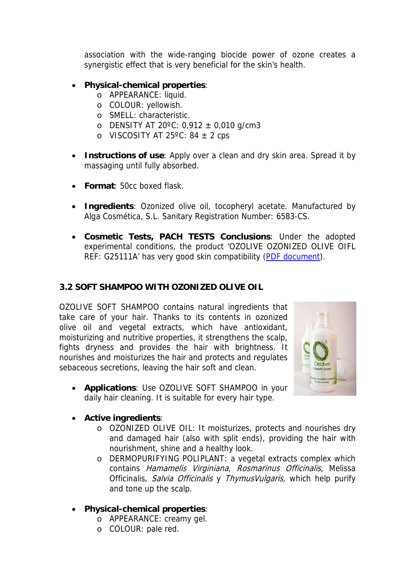association with the wide-ranging biocide power of ozone creates a synergistic effect that is very beneficial for the skin's health.

# **Physical-chemical properties**:

- o APPEARANCE: liquid.
- o COLOUR: yellowish.
- o SMELL: characteristic.
- o DENSITY AT 20 $^{\circ}$ C: 0,912  $\pm$  0,010 g/cm3
- o VISCOSITY AT 25 $^{\circ}$ C: 84  $\pm$  2 cps
- **Instructions of use**: Apply over a clean and dry skin area. Spread it by massaging until fully absorbed.
- **Format**: 50cc boxed flask.
- **Ingredients**: Ozonized olive oil, tocopheryl acetate. Manufactured by Alga Cosmética, S.L. Sanitary Registration Number: 6583-CS.
- **Cosmetic Tests, PACH TESTS Conclusions**: Under the adopted experimental conditions, the product 'OZOLIVE OZONIZED OLIVE OIFL REF: G25111A' has very good skin compatibility (PDF document).

## **3.2 SOFT SHAMPOO WITH OZONIZED OLIVE OIL**

OZOLIVE SOFT SHAMPOO contains natural ingredients that take care of your hair. Thanks to its contents in ozonized olive oil and vegetal extracts, which have antioxidant, moisturizing and nutritive properties, it strengthens the scalp, fights dryness and provides the hair with brightness. It nourishes and moisturizes the hair and protects and regulates sebaceous secretions, leaving the hair soft and clean.





## **Active ingredients**:

- o OZONIZED OLIVE OIL: It moisturizes, protects and nourishes dry and damaged hair (also with split ends), providing the hair with nourishment, shine and a healthy look.
- o DERMOPURIFYING POLIPLANT: a vegetal extracts complex which contains Hamamelis Virginiana, Rosmarinus Officinalis, Melissa Officinalis, Salvia Officinalis y ThymusVulgaris, which help purify and tone up the scalp.
- **Physical-chemical properties**:
	- o APPEARANCE: creamy gel.
	- o COLOUR: pale red.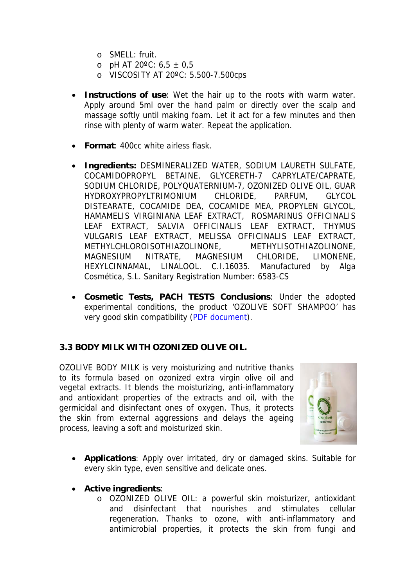- o SMELL: fruit.
- $\circ$  pH AT 20°C: 6,5  $\pm$  0,5
- o VISCOSITY AT 20ºC: 5.500-7.500cps
- **Instructions of use**: Wet the hair up to the roots with warm water. Apply around 5ml over the hand palm or directly over the scalp and massage softly until making foam. Let it act for a few minutes and then rinse with plenty of warm water. Repeat the application.
- **Format**: 400cc white airless flask.
- **Ingredients:** DESMINERALIZED WATER, SODIUM LAURETH SULFATE, COCAMIDOPROPYL BETAINE, GLYCERETH-7 CAPRYLATE/CAPRATE, SODIUM CHLORIDE, POLYQUATERNIUM-7, OZONIZED OLIVE OIL, GUAR HYDROXYPROPYLTRIMONIUM CHLORIDE, PARFUM, GLYCOL DISTEARATE, COCAMIDE DEA, COCAMIDE MEA, PROPYLEN GLYCOL, HAMAMELIS VIRGINIANA LEAF EXTRACT, ROSMARINUS OFFICINALIS LEAF EXTRACT, SALVIA OFFICINALIS LEAF EXTRACT, THYMUS VULGARIS LEAF EXTRACT, MELISSA OFFICINALIS LEAF EXTRACT, METHYLCHLOROISOTHIAZOLINONE, METHYLISOTHIAZOLINONE, MAGNESIUM NITRATE, MAGNESIUM CHLORIDE, LIMONENE, HEXYLCINNAMAL, LINALOOL. C.I.16035. Manufactured by Alga Cosmética, S.L. Sanitary Registration Number: 6583-CS
- **Cosmetic Tests, PACH TESTS Conclusions**: Under the adopted experimental conditions, the product 'OZOLIVE SOFT SHAMPOO' has very good skin compatibility (PDF document).

#### **3.3 BODY MILK WITH OZONIZED OLIVE OIL.**

OZOLIVE BODY MILK is very moisturizing and nutritive thanks to its formula based on ozonized extra virgin olive oil and vegetal extracts. It blends the moisturizing, anti-inflammatory and antioxidant properties of the extracts and oil, with the germicidal and disinfectant ones of oxygen. Thus, it protects the skin from external aggressions and delays the ageing process, leaving a soft and moisturized skin.



- **Applications**: Apply over irritated, dry or damaged skins. Suitable for every skin type, even sensitive and delicate ones.
- **Active ingredients**:
	- o OZONIZED OLIVE OIL: a powerful skin moisturizer, antioxidant and disinfectant that nourishes and stimulates cellular regeneration. Thanks to ozone, with anti-inflammatory and antimicrobial properties, it protects the skin from fungi and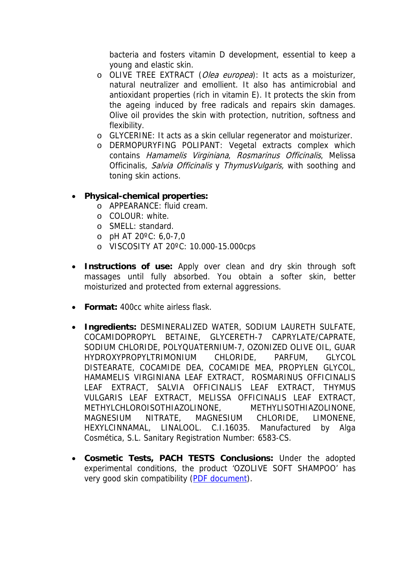bacteria and fosters vitamin D development, essential to keep a young and elastic skin.

- o OLIVE TREE EXTRACT (Olea europea): It acts as a moisturizer, natural neutralizer and emollient. It also has antimicrobial and antioxidant properties (rich in vitamin E). It protects the skin from the ageing induced by free radicals and repairs skin damages. Olive oil provides the skin with protection, nutrition, softness and flexibility.
- o GLYCERINE: It acts as a skin cellular regenerator and moisturizer.
- o DERMOPURYFING POLIPANT: Vegetal extracts complex which contains Hamamelis Virginiana, Rosmarinus Officinalis, Melissa Officinalis, Salvia Officinalis y ThymusVulgaris, with soothing and toning skin actions.

## **Physical-chemical properties:**

- o APPEARANCE: fluid cream.
- o COLOUR: white.
- o SMELL: standard.
- $O$  pH AT 20 $^{\circ}$ C: 6,0-7,0
- o VISCOSITY AT 20ºC: 10.000-15.000cps
- **Instructions of use:** Apply over clean and dry skin through soft massages until fully absorbed. You obtain a softer skin, better moisturized and protected from external aggressions.
- **Format:** 400cc white airless flask.
- **Ingredients:** DESMINERALIZED WATER, SODIUM LAURETH SULFATE, COCAMIDOPROPYL BETAINE, GLYCERETH-7 CAPRYLATE/CAPRATE, SODIUM CHLORIDE, POLYQUATERNIUM-7, OZONIZED OLIVE OIL, GUAR HYDROXYPROPYLTRIMONIUM CHLORIDE, PARFUM, GLYCOL DISTEARATE, COCAMIDE DEA, COCAMIDE MEA, PROPYLEN GLYCOL, HAMAMELIS VIRGINIANA LEAF EXTRACT, ROSMARINUS OFFICINALIS LEAF EXTRACT, SALVIA OFFICINALIS LEAF EXTRACT, THYMUS VULGARIS LEAF EXTRACT, MELISSA OFFICINALIS LEAF EXTRACT, METHYLCHLOROISOTHIAZOLINONE, METHYLISOTHIAZOLINONE, MAGNESIUM NITRATE, MAGNESIUM CHLORIDE, LIMONENE, HEXYLCINNAMAL, LINALOOL. C.I.16035. Manufactured by Alga Cosmética, S.L. Sanitary Registration Number: 6583-CS.
- **Cosmetic Tests, PACH TESTS Conclusions:** Under the adopted experimental conditions, the product 'OZOLIVE SOFT SHAMPOO' has very good skin compatibility (PDF document).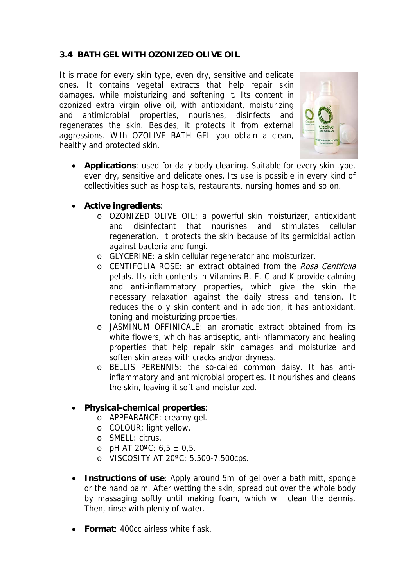# **3.4 BATH GEL WITH OZONIZED OLIVE OIL**

It is made for every skin type, even dry, sensitive and delicate ones. It contains vegetal extracts that help repair skin damages, while moisturizing and softening it. Its content in ozonized extra virgin olive oil, with antioxidant, moisturizing and antimicrobial properties, nourishes, disinfects and regenerates the skin. Besides, it protects it from external aggressions. With OZOLIVE BATH GEL you obtain a clean, healthy and protected skin.



- **Applications**: used for daily body cleaning. Suitable for every skin type, even dry, sensitive and delicate ones. Its use is possible in every kind of collectivities such as hospitals, restaurants, nursing homes and so on.
- **Active ingredients**:
	- o OZONIZED OLIVE OIL: a powerful skin moisturizer, antioxidant and disinfectant that nourishes and stimulates cellular regeneration. It protects the skin because of its germicidal action against bacteria and fungi.
	- o GLYCERINE: a skin cellular regenerator and moisturizer.
	- o CENTIFOLIA ROSE: an extract obtained from the Rosa Centifolia petals. Its rich contents in Vitamins B, E, C and K provide calming and anti-inflammatory properties, which give the skin the necessary relaxation against the daily stress and tension. It reduces the oily skin content and in addition, it has antioxidant, toning and moisturizing properties.
	- o JASMINUM OFFINICALE: an aromatic extract obtained from its white flowers, which has antiseptic, anti-inflammatory and healing properties that help repair skin damages and moisturize and soften skin areas with cracks and/or dryness.
	- o BELLIS PERENNIS: the so-called common daisy. It has antiinflammatory and antimicrobial properties. It nourishes and cleans the skin, leaving it soft and moisturized.

## **Physical-chemical properties**:

- o APPEARANCE: creamy gel.
- o COLOUR: light yellow.
- o SMELL: citrus.
- o pH AT 20 $^{\circ}$ C: 6,5  $\pm$  0,5.
- o VISCOSITY AT 20ºC: 5.500-7.500cps.
- **Instructions of use**: Apply around 5ml of gel over a bath mitt, sponge or the hand palm. After wetting the skin, spread out over the whole body by massaging softly until making foam, which will clean the dermis. Then, rinse with plenty of water.
- **Format**: 400cc airless white flask.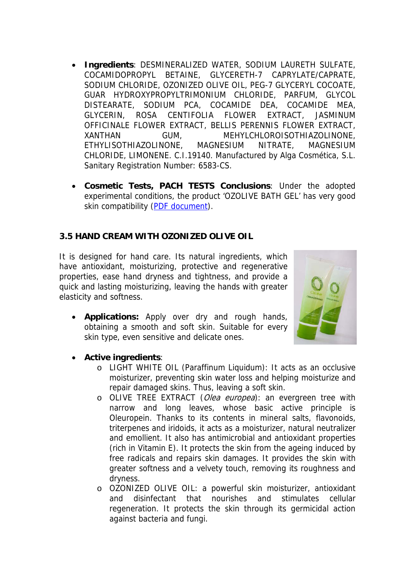- **Ingredients**: DESMINERALIZED WATER, SODIUM LAURETH SULFATE, COCAMIDOPROPYL BETAINE, GLYCERETH-7 CAPRYLATE/CAPRATE, SODIUM CHLORIDE, OZONIZED OLIVE OIL, PEG-7 GLYCERYL COCOATE, GUAR HYDROXYPROPYLTRIMONIUM CHLORIDE, PARFUM, GLYCOL DISTEARATE, SODIUM PCA, COCAMIDE DEA, COCAMIDE MEA, GLYCERIN, ROSA CENTIFOLIA FLOWER EXTRACT, JASMINUM OFFICINALE FLOWER EXTRACT, BELLIS PERENNIS FLOWER EXTRACT, XANTHAN GUM, MEHYLCHLOROISOTHIAZOLINONE, ETHYLISOTHIAZOLINONE, MAGNESIUM NITRATE, MAGNESIUM CHLORIDE, LIMONENE. C.I.19140. Manufactured by Alga Cosmética, S.L. Sanitary Registration Number: 6583-CS.
- **Cosmetic Tests, PACH TESTS Conclusions**: Under the adopted experimental conditions, the product 'OZOLIVE BATH GEL' has very good skin compatibility (PDF document).

## **3.5 HAND CREAM WITH OZONIZED OLIVE OIL**

It is designed for hand care. Its natural ingredients, which have antioxidant, moisturizing, protective and regenerative properties, ease hand dryness and tightness, and provide a quick and lasting moisturizing, leaving the hands with greater elasticity and softness.

 **Applications:** Apply over dry and rough hands, obtaining a smooth and soft skin. Suitable for every skin type, even sensitive and delicate ones.



- **Active ingredients**:
	- o LIGHT WHITE OIL (Paraffinum Liquidum): It acts as an occlusive moisturizer, preventing skin water loss and helping moisturize and repair damaged skins. Thus, leaving a soft skin.
	- o OLIVE TREE EXTRACT (Olea europea): an evergreen tree with narrow and long leaves, whose basic active principle is Oleuropein. Thanks to its contents in mineral salts, flavonoids, triterpenes and iridoids, it acts as a moisturizer, natural neutralizer and emollient. It also has antimicrobial and antioxidant properties (rich in Vitamin E). It protects the skin from the ageing induced by free radicals and repairs skin damages. It provides the skin with greater softness and a velvety touch, removing its roughness and dryness.
	- o OZONIZED OLIVE OIL: a powerful skin moisturizer, antioxidant and disinfectant that nourishes and stimulates cellular regeneration. It protects the skin through its germicidal action against bacteria and fungi.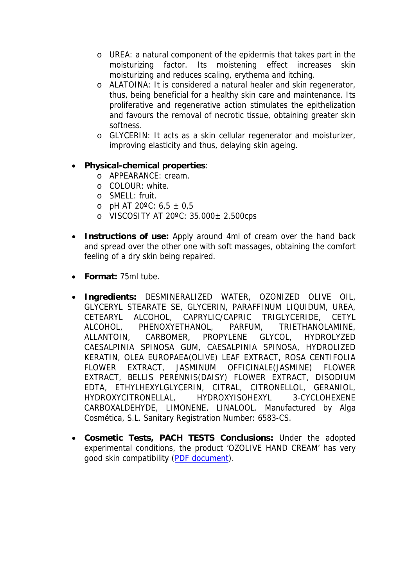- o UREA: a natural component of the epidermis that takes part in the moisturizing factor. Its moistening effect increases skin moisturizing and reduces scaling, erythema and itching.
- o ALATOINA: It is considered a natural healer and skin regenerator, thus, being beneficial for a healthy skin care and maintenance. Its proliferative and regenerative action stimulates the epithelization and favours the removal of necrotic tissue, obtaining greater skin softness.
- o GLYCERIN: It acts as a skin cellular regenerator and moisturizer, improving elasticity and thus, delaying skin ageing.
- **Physical-chemical properties**:
	- o APPEARANCE: cream.
	- o COLOUR: white.
	- o SMELL: fruit.
	- $\circ$  pH AT 20°C: 6,5  $\pm$  0,5
	- o VISCOSITY AT 20ºC: 35.000± 2.500cps
- **Instructions of use:** Apply around 4ml of cream over the hand back and spread over the other one with soft massages, obtaining the comfort feeling of a dry skin being repaired.
- **Format:** 75ml tube.
- **Ingredients:** DESMINERALIZED WATER, OZONIZED OLIVE OIL, GLYCERYL STEARATE SE, GLYCERIN, PARAFFINUM LIQUIDUM, UREA, CETEARYL ALCOHOL, CAPRYLIC/CAPRIC TRIGLYCERIDE, CETYL ALCOHOL, PHENOXYETHANOL, PARFUM, TRIETHANOLAMINE, ALLANTOIN, CARBOMER, PROPYLENE GLYCOL, HYDROLYZED CAESALPINIA SPINOSA GUM, CAESALPINIA SPINOSA, HYDROLIZED KERATIN, OLEA EUROPAEA(OLIVE) LEAF EXTRACT, ROSA CENTIFOLIA FLOWER EXTRACT, JASMINUM OFFICINALE(JASMINE) FLOWER EXTRACT, BELLIS PERENNIS(DAISY) FLOWER EXTRACT, DISODIUM EDTA, ETHYLHEXYLGLYCERIN, CITRAL, CITRONELLOL, GERANIOL, HYDROXYCITRONELLAL, HYDROXYISOHEXYL 3-CYCLOHEXENE CARBOXALDEHYDE, LIMONENE, LINALOOL. Manufactured by Alga Cosmética, S.L. Sanitary Registration Number: 6583-CS.
- **Cosmetic Tests, PACH TESTS Conclusions:** Under the adopted experimental conditions, the product 'OZOLIVE HAND CREAM' has very good skin compatibility (PDF document).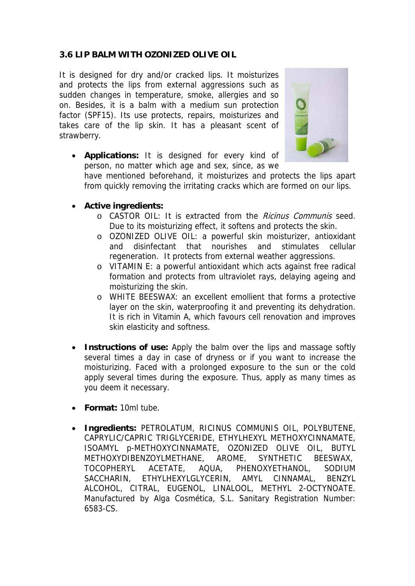## **3.6 LIP BALM WITH OZONIZED OLIVE OIL**

It is designed for dry and/or cracked lips. It moisturizes and protects the lips from external aggressions such as sudden changes in temperature, smoke, allergies and so on. Besides, it is a balm with a medium sun protection factor (SPF15). Its use protects, repairs, moisturizes and takes care of the lip skin. It has a pleasant scent of strawberry.



 **Applications:** It is designed for every kind of person, no matter which age and sex, since, as we

have mentioned beforehand, it moisturizes and protects the lips apart from quickly removing the irritating cracks which are formed on our lips.

- **Active ingredients:** 
	- o CASTOR OIL: It is extracted from the Ricinus Communis seed. Due to its moisturizing effect, it softens and protects the skin.
	- o OZONIZED OLIVE OIL: a powerful skin moisturizer, antioxidant and disinfectant that nourishes and stimulates cellular regeneration. It protects from external weather aggressions.
	- o VITAMIN E: a powerful antioxidant which acts against free radical formation and protects from ultraviolet rays, delaying ageing and moisturizing the skin.
	- o WHITE BEESWAX: an excellent emollient that forms a protective layer on the skin, waterproofing it and preventing its dehydration. It is rich in Vitamin A, which favours cell renovation and improves skin elasticity and softness.
- **Instructions of use:** Apply the balm over the lips and massage softly several times a day in case of dryness or if you want to increase the moisturizing. Faced with a prolonged exposure to the sun or the cold apply several times during the exposure. Thus, apply as many times as you deem it necessary.
- **Format:** 10ml tube.
- **Ingredients:** PETROLATUM, RICINUS COMMUNIS OIL, POLYBUTENE, CAPRYLIC/CAPRIC TRIGLYCERIDE, ETHYLHEXYL METHOXYCINNAMATE, ISOAMYL p-METHOXYCINNAMATE, OZONIZED OLIVE OIL, BUTYL METHOXYDIBENZOYLMETHANE, AROME, SYNTHETIC BEESWAX, TOCOPHERYL ACETATE, AQUA, PHENOXYETHANOL, SODIUM SACCHARIN, ETHYLHEXYLGLYCERIN, AMYL CINNAMAL, BENZYL ALCOHOL, CITRAL, EUGENOL, LINALOOL, METHYL 2-OCTYNOATE. Manufactured by Alga Cosmética, S.L. Sanitary Registration Number: 6583-CS.